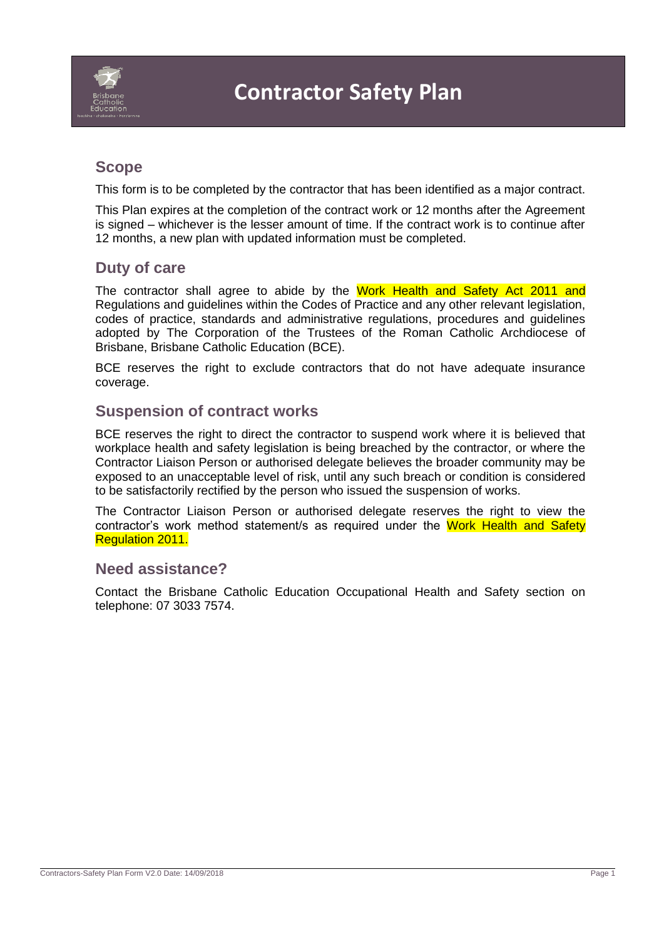

## **Scope**

This form is to be completed by the contractor that has been identified as a major contract.

This Plan expires at the completion of the contract work or 12 months after the Agreement is signed – whichever is the lesser amount of time. If the contract work is to continue after 12 months, a new plan with updated information must be completed.

### **Duty of care**

The contractor shall agree to abide by the Work Health and Safety Act 2011 and Regulations and guidelines within the Codes of Practice and any other relevant legislation, codes of practice, standards and administrative regulations, procedures and guidelines adopted by The Corporation of the Trustees of the Roman Catholic Archdiocese of Brisbane, Brisbane Catholic Education (BCE).

BCE reserves the right to exclude contractors that do not have adequate insurance coverage.

### **Suspension of contract works**

BCE reserves the right to direct the contractor to suspend work where it is believed that workplace health and safety legislation is being breached by the contractor, or where the Contractor Liaison Person or authorised delegate believes the broader community may be exposed to an unacceptable level of risk, until any such breach or condition is considered to be satisfactorily rectified by the person who issued the suspension of works.

The Contractor Liaison Person or authorised delegate reserves the right to view the contractor's work method statement/s as required under the Work Health and Safety Regulation 2011.

#### **Need assistance?**

Contact the Brisbane Catholic Education Occupational Health and Safety section on telephone: 07 3033 7574.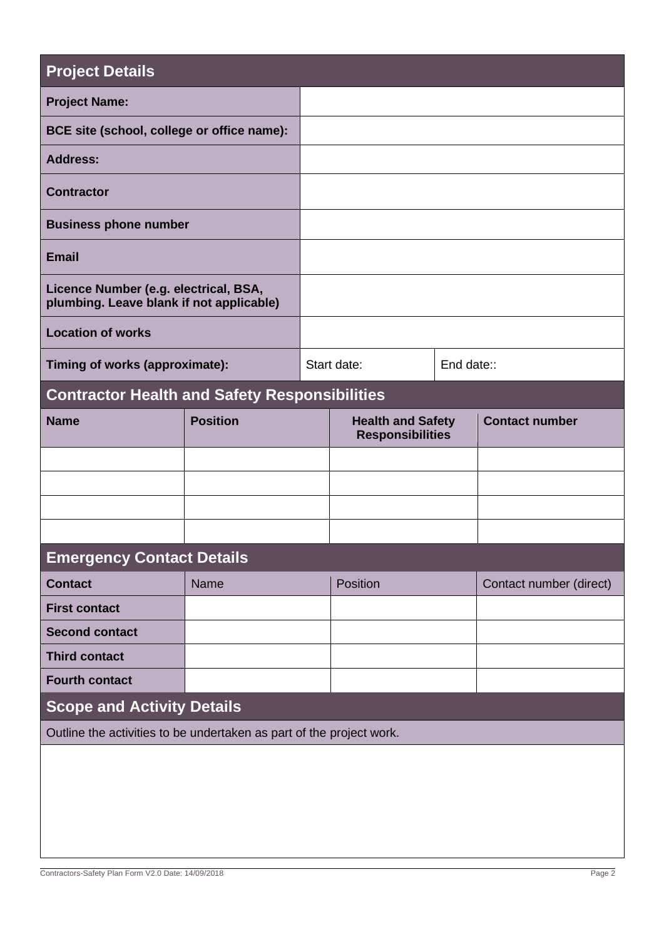| <b>Project Details</b>                                                            |                 |  |                                                     |            |                         |
|-----------------------------------------------------------------------------------|-----------------|--|-----------------------------------------------------|------------|-------------------------|
| <b>Project Name:</b>                                                              |                 |  |                                                     |            |                         |
| BCE site (school, college or office name):                                        |                 |  |                                                     |            |                         |
| <b>Address:</b>                                                                   |                 |  |                                                     |            |                         |
| <b>Contractor</b>                                                                 |                 |  |                                                     |            |                         |
| <b>Business phone number</b>                                                      |                 |  |                                                     |            |                         |
| <b>Email</b>                                                                      |                 |  |                                                     |            |                         |
| Licence Number (e.g. electrical, BSA,<br>plumbing. Leave blank if not applicable) |                 |  |                                                     |            |                         |
| <b>Location of works</b>                                                          |                 |  |                                                     |            |                         |
| Timing of works (approximate):                                                    |                 |  | Start date:                                         | End date:: |                         |
| <b>Contractor Health and Safety Responsibilities</b>                              |                 |  |                                                     |            |                         |
| <b>Name</b>                                                                       | <b>Position</b> |  | <b>Health and Safety</b><br><b>Responsibilities</b> |            | <b>Contact number</b>   |
|                                                                                   |                 |  |                                                     |            |                         |
|                                                                                   |                 |  |                                                     |            |                         |
|                                                                                   |                 |  |                                                     |            |                         |
|                                                                                   |                 |  |                                                     |            |                         |
| <b>Emergency Contact Details</b>                                                  |                 |  |                                                     |            |                         |
| <b>Contact</b>                                                                    | Name            |  | Position                                            |            | Contact number (direct) |
| <b>First contact</b>                                                              |                 |  |                                                     |            |                         |
| <b>Second contact</b>                                                             |                 |  |                                                     |            |                         |
| <b>Third contact</b>                                                              |                 |  |                                                     |            |                         |
| <b>Fourth contact</b>                                                             |                 |  |                                                     |            |                         |
| <b>Scope and Activity Details</b>                                                 |                 |  |                                                     |            |                         |
| Outline the activities to be undertaken as part of the project work.              |                 |  |                                                     |            |                         |
|                                                                                   |                 |  |                                                     |            |                         |
|                                                                                   |                 |  |                                                     |            |                         |
|                                                                                   |                 |  |                                                     |            |                         |
|                                                                                   |                 |  |                                                     |            |                         |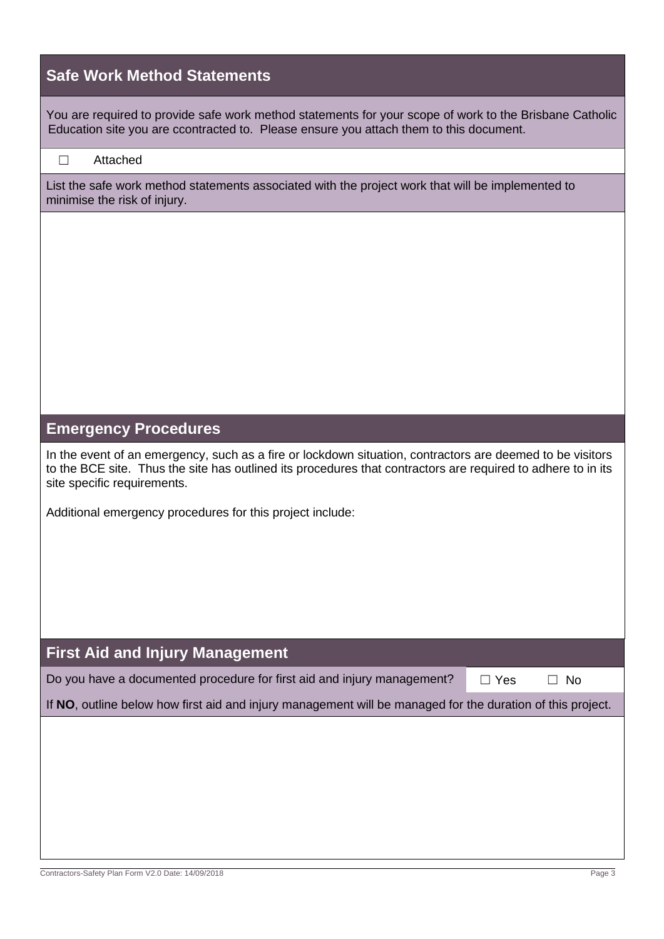| <b>Safe Work Method Statements</b>                                                                                                                                                                                                                       |
|----------------------------------------------------------------------------------------------------------------------------------------------------------------------------------------------------------------------------------------------------------|
| You are required to provide safe work method statements for your scope of work to the Brisbane Catholic<br>Education site you are ccontracted to. Please ensure you attach them to this document.                                                        |
| Attached<br>$\perp$                                                                                                                                                                                                                                      |
| List the safe work method statements associated with the project work that will be implemented to<br>minimise the risk of injury.                                                                                                                        |
|                                                                                                                                                                                                                                                          |
|                                                                                                                                                                                                                                                          |
|                                                                                                                                                                                                                                                          |
|                                                                                                                                                                                                                                                          |
|                                                                                                                                                                                                                                                          |
|                                                                                                                                                                                                                                                          |
| <b>Emergency Procedures</b>                                                                                                                                                                                                                              |
| In the event of an emergency, such as a fire or lockdown situation, contractors are deemed to be visitors<br>to the BCE site. Thus the site has outlined its procedures that contractors are required to adhere to in its<br>site specific requirements. |
| Additional emergency procedures for this project include:                                                                                                                                                                                                |
|                                                                                                                                                                                                                                                          |
|                                                                                                                                                                                                                                                          |
|                                                                                                                                                                                                                                                          |
|                                                                                                                                                                                                                                                          |
| <b>First Aid and Injury Management</b>                                                                                                                                                                                                                   |
| Do you have a documented procedure for first aid and injury management?<br>$\Box$ Yes<br><b>No</b>                                                                                                                                                       |
| If NO, outline below how first aid and injury management will be managed for the duration of this project.                                                                                                                                               |
|                                                                                                                                                                                                                                                          |
|                                                                                                                                                                                                                                                          |
|                                                                                                                                                                                                                                                          |
|                                                                                                                                                                                                                                                          |
| Contractors-Safety Plan Form V2.0 Date: 14/09/2018<br>Page 3                                                                                                                                                                                             |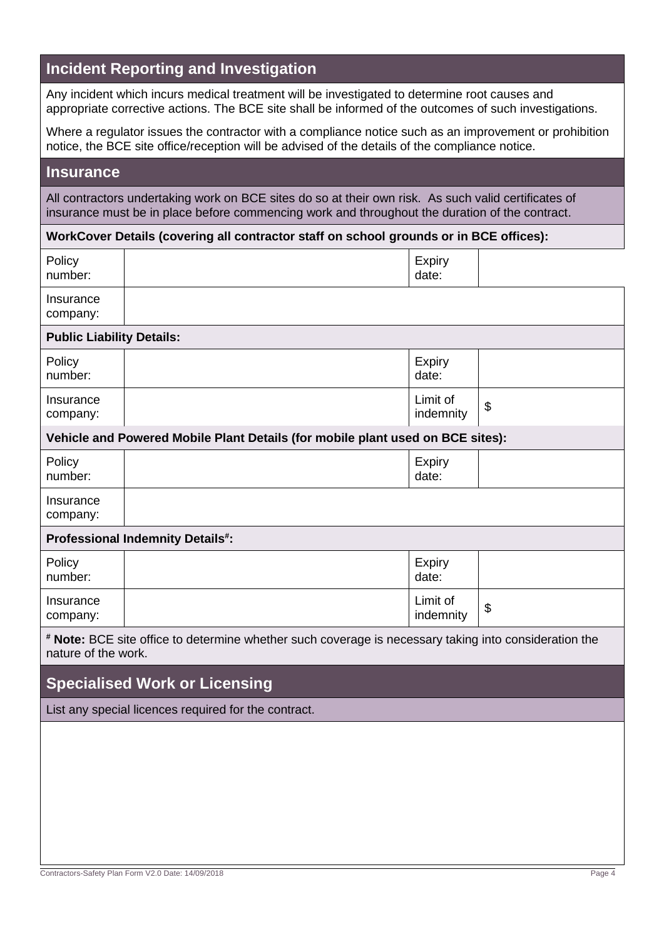## **Incident Reporting and Investigation**

Any incident which incurs medical treatment will be investigated to determine root causes and appropriate corrective actions. The BCE site shall be informed of the outcomes of such investigations.

Where a regulator issues the contractor with a compliance notice such as an improvement or prohibition notice, the BCE site office/reception will be advised of the details of the compliance notice.

#### **Insurance**

All contractors undertaking work on BCE sites do so at their own risk. As such valid certificates of insurance must be in place before commencing work and throughout the duration of the contract.

#### **WorkCover Details (covering all contractor staff on school grounds or in BCE offices):**

| Policy<br>number:                                                                                                            |  | Expiry<br>date:        |                           |  |  |
|------------------------------------------------------------------------------------------------------------------------------|--|------------------------|---------------------------|--|--|
| Insurance<br>company:                                                                                                        |  |                        |                           |  |  |
| <b>Public Liability Details:</b>                                                                                             |  |                        |                           |  |  |
| Policy<br>number:                                                                                                            |  | Expiry<br>date:        |                           |  |  |
| Insurance<br>company:                                                                                                        |  | Limit of<br>indemnity  | $\boldsymbol{\mathsf{S}}$ |  |  |
| Vehicle and Powered Mobile Plant Details (for mobile plant used on BCE sites):                                               |  |                        |                           |  |  |
| Policy<br>number:                                                                                                            |  | <b>Expiry</b><br>date: |                           |  |  |
| Insurance<br>company:                                                                                                        |  |                        |                           |  |  |
| <b>Professional Indemnity Details#:</b>                                                                                      |  |                        |                           |  |  |
| Policy<br>number:                                                                                                            |  | Expiry<br>date:        |                           |  |  |
| Insurance<br>company:                                                                                                        |  | Limit of<br>indemnity  | $\boldsymbol{\theta}$     |  |  |
| * Note: BCE site office to determine whether such coverage is necessary taking into consideration the<br>nature of the work. |  |                        |                           |  |  |
| <b>Specialised Work or Licensing</b>                                                                                         |  |                        |                           |  |  |
| List any special licences required for the contract.                                                                         |  |                        |                           |  |  |
|                                                                                                                              |  |                        |                           |  |  |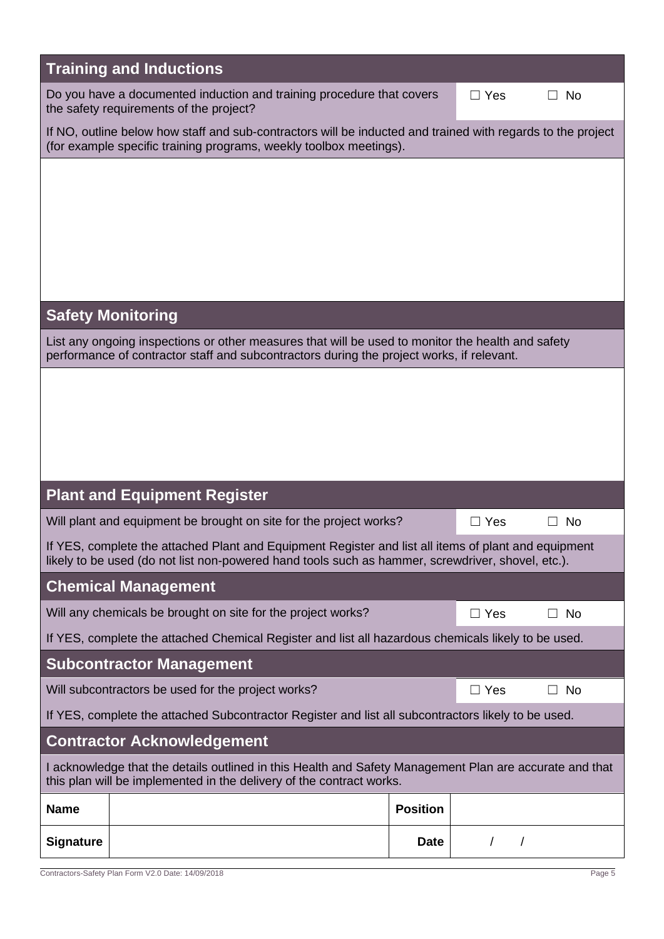| <b>Training and Inductions</b>                                                                                                                                                                            |                 |              |               |  |  |
|-----------------------------------------------------------------------------------------------------------------------------------------------------------------------------------------------------------|-----------------|--------------|---------------|--|--|
| Do you have a documented induction and training procedure that covers<br>the safety requirements of the project?                                                                                          | $\Box$ Yes      | No<br>$\Box$ |               |  |  |
| If NO, outline below how staff and sub-contractors will be inducted and trained with regards to the project<br>(for example specific training programs, weekly toolbox meetings).                         |                 |              |               |  |  |
|                                                                                                                                                                                                           |                 |              |               |  |  |
|                                                                                                                                                                                                           |                 |              |               |  |  |
|                                                                                                                                                                                                           |                 |              |               |  |  |
|                                                                                                                                                                                                           |                 |              |               |  |  |
|                                                                                                                                                                                                           |                 |              |               |  |  |
| <b>Safety Monitoring</b>                                                                                                                                                                                  |                 |              |               |  |  |
| List any ongoing inspections or other measures that will be used to monitor the health and safety<br>performance of contractor staff and subcontractors during the project works, if relevant.            |                 |              |               |  |  |
|                                                                                                                                                                                                           |                 |              |               |  |  |
|                                                                                                                                                                                                           |                 |              |               |  |  |
|                                                                                                                                                                                                           |                 |              |               |  |  |
|                                                                                                                                                                                                           |                 |              |               |  |  |
| <b>Plant and Equipment Register</b>                                                                                                                                                                       |                 |              |               |  |  |
| Will plant and equipment be brought on site for the project works?<br>$\Box$ Yes<br><b>No</b>                                                                                                             |                 |              |               |  |  |
| If YES, complete the attached Plant and Equipment Register and list all items of plant and equipment<br>likely to be used (do not list non-powered hand tools such as hammer, screwdriver, shovel, etc.). |                 |              |               |  |  |
| <b>Chemical Management</b>                                                                                                                                                                                |                 |              |               |  |  |
| Will any chemicals be brought on site for the project works?                                                                                                                                              |                 |              | No.<br>$\Box$ |  |  |
| If YES, complete the attached Chemical Register and list all hazardous chemicals likely to be used.                                                                                                       |                 |              |               |  |  |
| <b>Subcontractor Management</b>                                                                                                                                                                           |                 |              |               |  |  |
| Will subcontractors be used for the project works?                                                                                                                                                        |                 |              | No<br>$\Box$  |  |  |
| If YES, complete the attached Subcontractor Register and list all subcontractors likely to be used.                                                                                                       |                 |              |               |  |  |
| <b>Contractor Acknowledgement</b>                                                                                                                                                                         |                 |              |               |  |  |
| I acknowledge that the details outlined in this Health and Safety Management Plan are accurate and that<br>this plan will be implemented in the delivery of the contract works.                           |                 |              |               |  |  |
| <b>Name</b>                                                                                                                                                                                               | <b>Position</b> |              |               |  |  |
| <b>Signature</b>                                                                                                                                                                                          | <b>Date</b>     |              |               |  |  |

Contractors-Safety Plan Form V2.0 Date: 14/09/2018 Page 5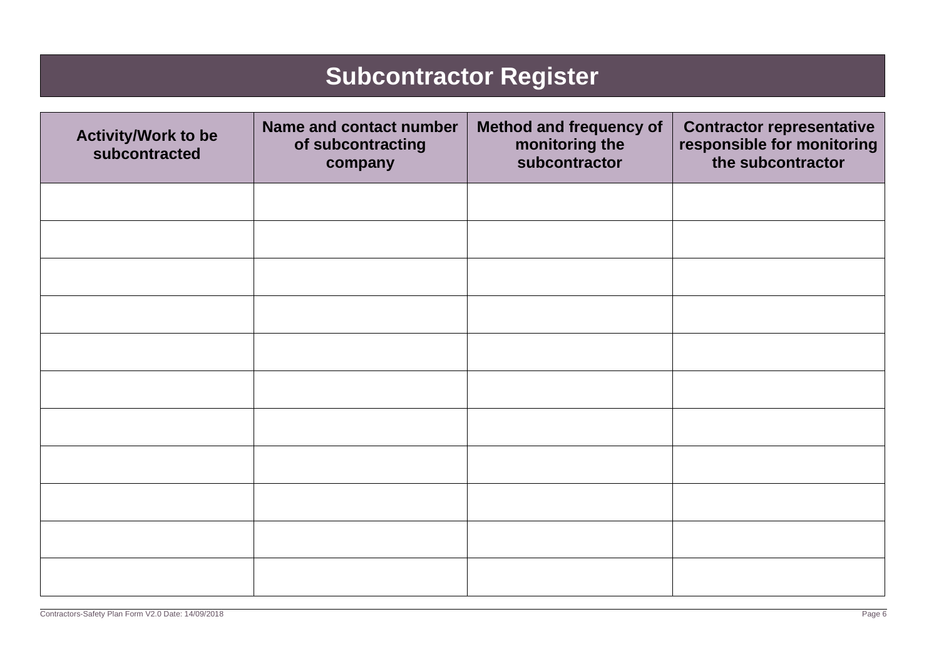## **Subcontractor Register**

| <b>Activity/Work to be</b><br>subcontracted | Name and contact number<br>of subcontracting<br>company | <b>Method and frequency of</b><br>monitoring the<br>subcontractor | <b>Contractor representative</b><br>responsible for monitoring<br>the subcontractor |
|---------------------------------------------|---------------------------------------------------------|-------------------------------------------------------------------|-------------------------------------------------------------------------------------|
|                                             |                                                         |                                                                   |                                                                                     |
|                                             |                                                         |                                                                   |                                                                                     |
|                                             |                                                         |                                                                   |                                                                                     |
|                                             |                                                         |                                                                   |                                                                                     |
|                                             |                                                         |                                                                   |                                                                                     |
|                                             |                                                         |                                                                   |                                                                                     |
|                                             |                                                         |                                                                   |                                                                                     |
|                                             |                                                         |                                                                   |                                                                                     |
|                                             |                                                         |                                                                   |                                                                                     |
|                                             |                                                         |                                                                   |                                                                                     |
|                                             |                                                         |                                                                   |                                                                                     |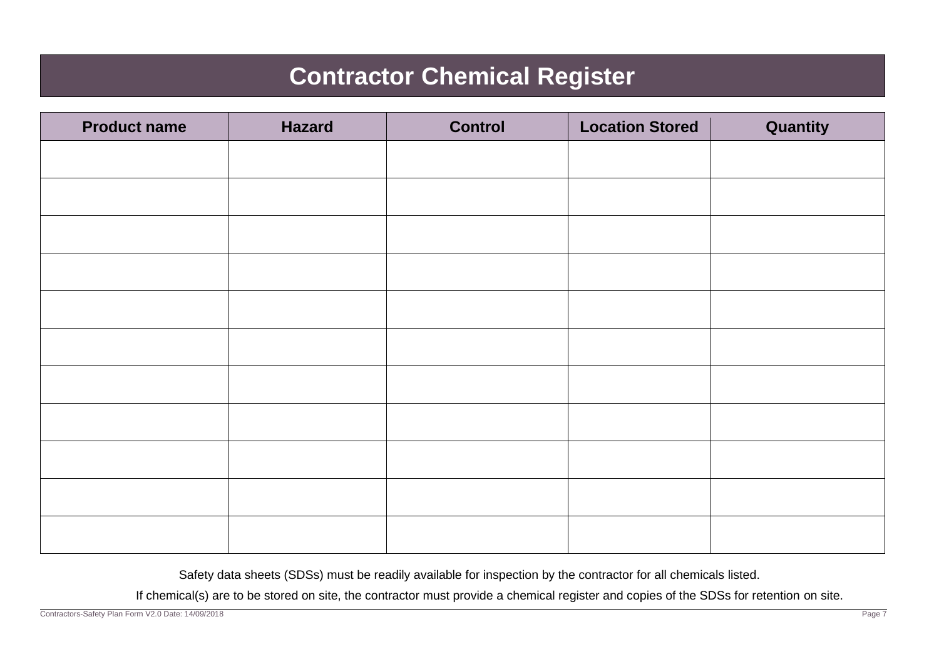## **Contractor Chemical Register**

| <b>Product name</b> | <b>Hazard</b> | <b>Control</b> | <b>Location Stored</b> | Quantity |
|---------------------|---------------|----------------|------------------------|----------|
|                     |               |                |                        |          |
|                     |               |                |                        |          |
|                     |               |                |                        |          |
|                     |               |                |                        |          |
|                     |               |                |                        |          |
|                     |               |                |                        |          |
|                     |               |                |                        |          |
|                     |               |                |                        |          |
|                     |               |                |                        |          |
|                     |               |                |                        |          |
|                     |               |                |                        |          |

Safety data sheets (SDSs) must be readily available for inspection by the contractor for all chemicals listed.

If chemical(s) are to be stored on site, the contractor must provide a chemical register and copies of the SDSs for retention on site.